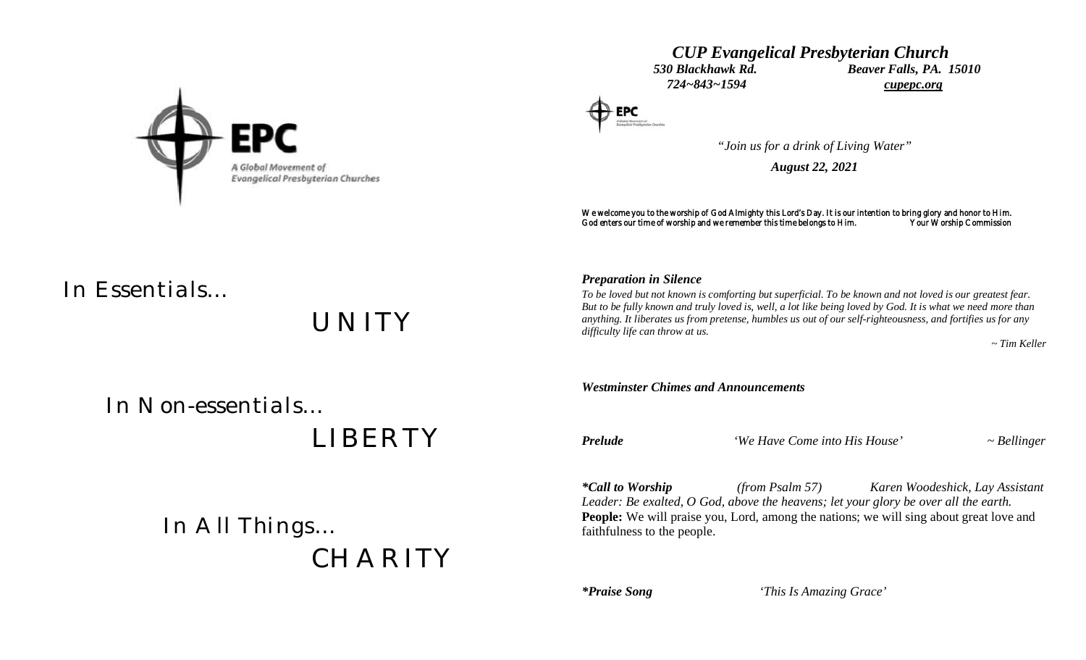



# *"Join us for a drink of Living Water"*

*August 22, 2021*

We welcome you to the worship of God Almighty this Lord's Day. It is our intention to bring glory and honor to Him.<br>God enters our time of worship and we remember this time belongs to Him. Your Worship Commission God enters our time of worship and we remember this time belongs to Him.

# *In Essentials…*

*UNITY*

## *Preparation in Silence*

*To be loved but not known is comforting but superficial. To be known and not loved is our greatest fear. But to be fully known and truly loved is, well, a lot like being loved by God. It is what we need more than anything. It liberates us from pretense, humbles us out of our self-righteousness, and fortifies us for any difficulty life can throw at us.*

 *~ Tim Keller*

 *In Non-essentials…*

 *LIBERTY*

 *In All Things… CHARITY*

*Westminster Chimes and Announcements Prelude 'We Have Come into His House' ~ Bellinger \*Call to Worship (from Psalm 57) Karen Woodeshick, Lay Assistant Leader: Be exalted, O God, above the heavens; let your glory be over all the earth.* **People:** We will praise you, Lord, among the nations; we will sing about great love and faithfulness to the people.

*\*Praise Song 'This Is Amazing Grace'*